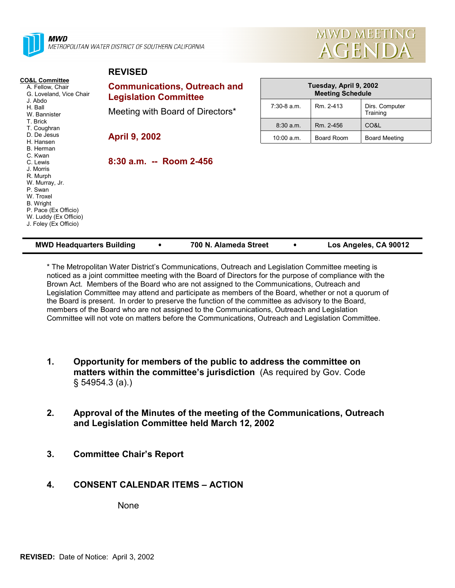

MWD METROPOLITAN WATER DISTRICT OF SOUTHERN CALIFORNIA

**REVISED**



| <b>REVISED</b>                      |                                                   |            |                            |
|-------------------------------------|---------------------------------------------------|------------|----------------------------|
| <b>Communications, Outreach and</b> | Tuesday, April 9, 2002<br><b>Meeting Schedule</b> |            |                            |
| Meeting with Board of Directors*    | $7:30-8$ a.m.                                     | Rm. 2-413  | Dirs. Computer<br>Training |
|                                     | 8:30 a.m.                                         | Rm. 2-456  | CO&L                       |
| <b>April 9, 2002</b>                | 10:00 a.m.                                        | Board Room | <b>Board Meeting</b>       |
| 8:30 a.m. -- Room 2-456             |                                                   |            |                            |
|                                     | <b>Legislation Committee</b>                      |            |                            |

| <b>MWD Headquarters Building</b> | 700 N. Alameda Street | Los Angeles, CA 90012 |
|----------------------------------|-----------------------|-----------------------|
|----------------------------------|-----------------------|-----------------------|

\* The Metropolitan Water District's Communications, Outreach and Legislation Committee meeting is noticed as a joint committee meeting with the Board of Directors for the purpose of compliance with the Brown Act. Members of the Board who are not assigned to the Communications, Outreach and Legislation Committee may attend and participate as members of the Board, whether or not a quorum of the Board is present. In order to preserve the function of the committee as advisory to the Board, members of the Board who are not assigned to the Communications, Outreach and Legislation Committee will not vote on matters before the Communications, Outreach and Legislation Committee.

- **1. Opportunity for members of the public to address the committee on matters within the committee's jurisdiction** (As required by Gov. Code § 54954.3 (a).)
- **2. Approval of the Minutes of the meeting of the Communications, Outreach and Legislation Committee held March 12, 2002**
- **3. Committee Chair's Report**

## **4. CONSENT CALENDAR ITEMS – ACTION**

None